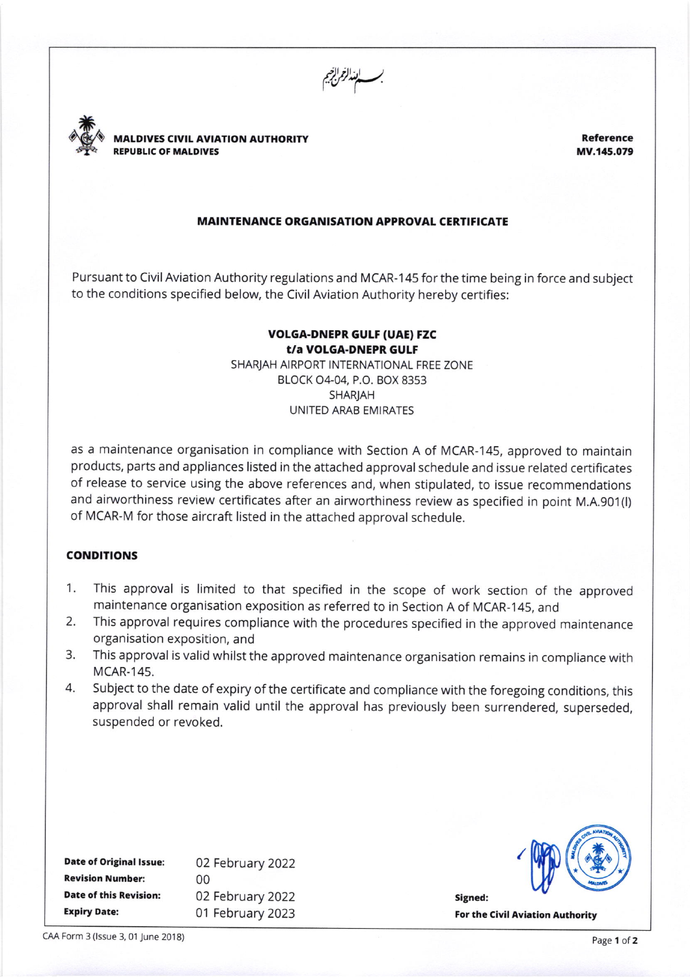بـــــابعذالزمرابزخيم<br>.



MALDIVES CIVIL AVIATION AUTHORTTY REPUELIC OF MALDIVES

Reference MV.145.079

## MAINTENANCE ORGANISATION APPROVAL CERTIFICATE

Pursuant to Civil Aviation Authority regulations and MCAR-145 for the time being in force and subject to the conditions specified below, the Civil Aviation Authority hereby certifies:

## VOLGA-DNEPR GULF (UAE) FZC t/a VOLGA-DNEPR GULF SHARJAH AIRPORT INTERNATIONAL FREE ZONE

BLOCK 04-04, P.O. BOX 8353 SHARjAH UNITED ARAB EMIRATES

as a maintenance organisation in compliance with Section A of MCAR-145, approved to maintaln products, parts and appliances listed in the attached approval schedule and issue related certificates of release to service using the above references and, when stipulated, to issue recommendations and airworthiness review certificates after an airworthiness review as specified in point M.A.901(l) of MCAR-M for those aircraft listed in the attached approval schedule.

## **CONDITIONS**

- 1. This approval is limited to that specified in the scope of work section of the approved
- 2. This approval requires compliance with the procedures specified in the approved maintenance organisation exposition, and
- 3. This approval is valid whilst the approved maintenance organisation remains in compliance with MCAR.145.
- 4. Subject to the date of expiry of the certificate and compliance with the foregoing conditions, this approval shall remain valid until the approval has previously been surrendered, superseded, suspended or revoked.

| <b>Date of Original Issue:</b> | 02 February 2022 |  |
|--------------------------------|------------------|--|
| <b>Revision Number:</b>        | 00               |  |
| <b>Date of this Revision:</b>  | 02 February 2022 |  |
| <b>Expiry Date:</b>            | 01 February 2023 |  |



Signed: For the Civil Aviation Authority

CAA Form 3 (Issue 3, 01 June 2018) Page 1 of 2